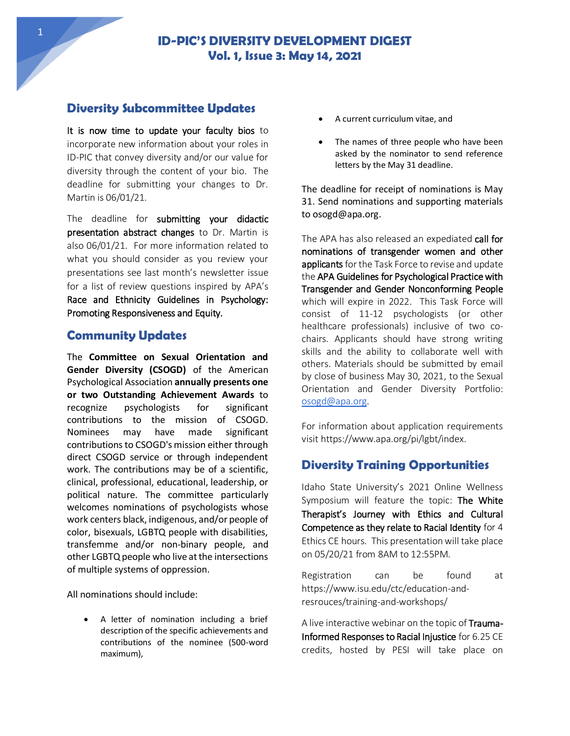## **Diversity Subcommittee Updates**

It is now time to update your faculty bios to incorporate new information about your roles in ID-PIC that convey diversity and/or our value for diversity through the content of your bio. The deadline for submitting your changes to Dr. Martin is 06/01/21.

The deadline for submitting your didactic presentation abstract changes to Dr. Martin is also 06/01/21. For more information related to what you should consider as you review your presentations see last month's newsletter issue for a list of review questions inspired by APA's Race and Ethnicity Guidelines in Psychology: Promoting Responsiveness and Equity.

## **Community Updates**

The **Committee on Sexual Orientation and Gender Diversity (CSOGD)** of the American Psychological Association **annually presents one or two Outstanding Achievement Awards** to recognize psychologists for significant contributions to the mission of CSOGD. Nominees may have made significant contributions to CSOGD's mission either through direct CSOGD service or through independent work. The contributions may be of a scientific, clinical, professional, educational, leadership, or political nature. The committee particularly welcomes nominations of psychologists whose work centers black, indigenous, and/or people of color, bisexuals, LGBTQ people with disabilities, transfemme and/or non-binary people, and other LGBTQ people who live at the intersections of multiple systems of oppression.

All nominations should include:

A letter of nomination including a brief description of the specific achievements and contributions of the nominee (500-word maximum),

- A current curriculum vitae, and
- The names of three people who have been asked by the nominator to send reference letters by the May 31 deadline.

The deadline for receipt of nominations is May 31. Send nominations and supporting materials to osogd@apa.org.

The APA has also released an expediated call for nominations of transgender women and other applicants for the Task Force to revise and update the APA Guidelines for Psychological Practice with Transgender and Gender Nonconforming People which will expire in 2022. This Task Force will consist of 11-12 psychologists (or other healthcare professionals) inclusive of two cochairs. Applicants should have strong writing skills and the ability to collaborate well with others. Materials should be submitted by email by close of business May 30, 2021, to the Sexual Orientation and Gender Diversity Portfolio: osogd@apa.org.

For information about application requirements visit https://www.apa.org/pi/lgbt/index.

# **Diversity Training Opportunities**

Idaho State University's 2021 Online Wellness Symposium will feature the topic: The White Therapist's Journey with Ethics and Cultural Competence as they relate to Racial Identity for 4 Ethics CE hours. This presentation will take place on 05/20/21 from 8AM to 12:55PM.

Registration can be found at https://www.isu.edu/ctc/education-andresrouces/training-and-workshops/

A live interactive webinar on the topic of Trauma-Informed Responses to Racial Injustice for 6.25 CE credits, hosted by PESI will take place on